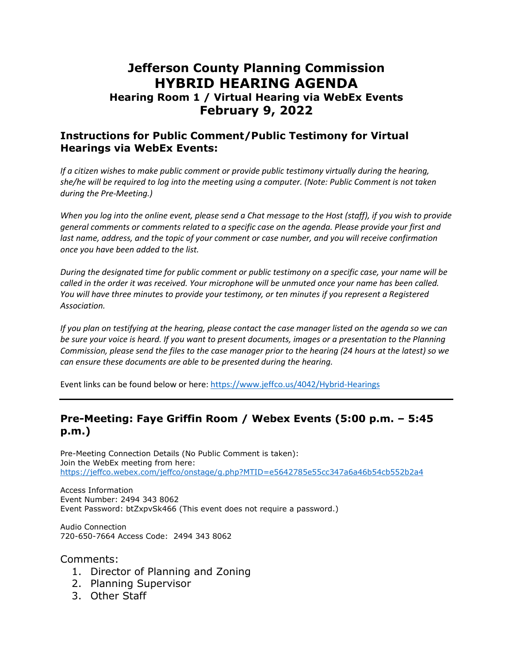# **Jefferson County Planning Commission HYBRID HEARING AGENDA**

## **Hearing Room 1 / Virtual Hearing via WebEx Events February 9, 2022**

#### **Instructions for Public Comment/Public Testimony for Virtual Hearings via WebEx Events:**

*If a citizen wishes to make public comment or provide public testimony virtually during the hearing, she/he will be required to log into the meeting using a computer. (Note: Public Comment is not taken during the Pre-Meeting.)*

*When you log into the online event, please send a Chat message to the Host (staff), if you wish to provide general comments or comments related to a specific case on the agenda. Please provide your first and*  last name, address, and the topic of your comment or case number, and you will receive confirmation *once you have been added to the list.*

*During the designated time for public comment or public testimony on a specific case, your name will be called in the order it was received. Your microphone will be unmuted once your name has been called. You will have three minutes to provide your testimony, or ten minutes if you represent a Registered Association.*

*If you plan on testifying at the hearing, please contact the case manager listed on the agenda so we can be sure your voice is heard. If you want to present documents, images or a presentation to the Planning Commission, please send the files to the case manager prior to the hearing (24 hours at the latest) so we can ensure these documents are able to be presented during the hearing.*

Event links can be found below or here:<https://www.jeffco.us/4042/Hybrid-Hearings>

#### **Pre-Meeting: Faye Griffin Room / Webex Events (5:00 p.m. – 5:45 p.m.)**

Pre-Meeting Connection Details (No Public Comment is taken): Join the WebEx meeting from here: <https://jeffco.webex.com/jeffco/onstage/g.php?MTID=e5642785e55cc347a6a46b54cb552b2a4>

Access Information Event Number: 2494 343 8062 Event Password: btZxpvSk466 (This event does not require a password.)

Audio Connection 720-650-7664 Access Code: 2494 343 8062

Comments:

- 1. Director of Planning and Zoning
- 2. Planning Supervisor
- 3. Other Staff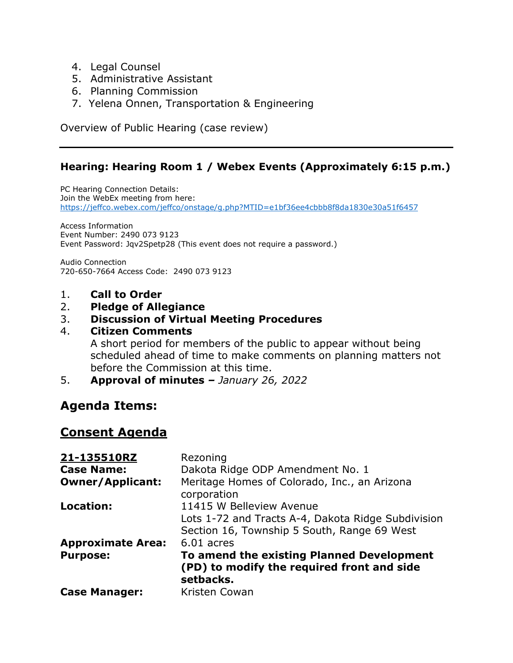- 4. Legal Counsel
- 5. Administrative Assistant
- 6. Planning Commission
- 7. Yelena Onnen, Transportation & Engineering

Overview of Public Hearing (case review)

### **Hearing: Hearing Room 1 / Webex Events (Approximately 6:15 p.m.)**

PC Hearing Connection Details: Join the WebEx meeting from here: <https://jeffco.webex.com/jeffco/onstage/g.php?MTID=e1bf36ee4cbbb8f8da1830e30a51f6457>

Access Information Event Number: 2490 073 9123 Event Password: Jqv2Spetp28 (This event does not require a password.)

Audio Connection 720-650-7664 Access Code: 2490 073 9123

1. **Call to Order**

#### 2. **Pledge of Allegiance**

#### 3. **Discussion of Virtual Meeting Procedures**

#### 4. **Citizen Comments**

A short period for members of the public to appear without being scheduled ahead of time to make comments on planning matters not before the Commission at this time.

5. **Approval of minutes** *– January 26, 2022*

# **Agenda Items:**

### **Consent Agenda**

| 21-135510RZ              | Rezoning                                                                                             |
|--------------------------|------------------------------------------------------------------------------------------------------|
| <b>Case Name:</b>        | Dakota Ridge ODP Amendment No. 1                                                                     |
| <b>Owner/Applicant:</b>  | Meritage Homes of Colorado, Inc., an Arizona<br>corporation                                          |
| Location:                | 11415 W Belleview Avenue                                                                             |
|                          | Lots 1-72 and Tracts A-4, Dakota Ridge Subdivision                                                   |
|                          | Section 16, Township 5 South, Range 69 West                                                          |
| <b>Approximate Area:</b> | $6.01$ acres                                                                                         |
| <b>Purpose:</b>          | To amend the existing Planned Development<br>(PD) to modify the required front and side<br>setbacks. |
| <b>Case Manager:</b>     | Kristen Cowan                                                                                        |